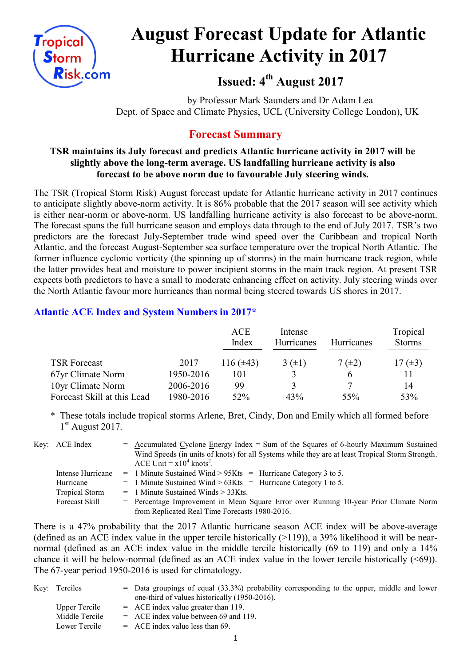

# **August Forecast Update for Atlantic Hurricane Activity in 2017**

**Issued: 4 th August 2017**

by Professor Mark Saunders and Dr Adam Lea Dept. of Space and Climate Physics, UCL (University College London), UK

# **Forecast Summary**

## **TSR maintains its July forecast and predicts Atlantic hurricane activity in 2017 will be slightly above the long-term average. US landfalling hurricane activity is also forecast to be above norm due to favourable July steering winds.**

The TSR (Tropical Storm Risk) August forecast update for Atlantic hurricane activity in 2017 continues to anticipate slightly above-norm activity. It is 86% probable that the 2017 season will see activity which is either near-norm or above-norm. US landfalling hurricane activity is also forecast to be above-norm. The forecast spans the full hurricane season and employs data through to the end of July 2017. TSR's two predictors are the forecast July-September trade wind speed over the Caribbean and tropical North Atlantic, and the forecast August-September sea surface temperature over the tropical North Atlantic. The former influence cyclonic vorticity (the spinning up of storms) in the main hurricane track region, while the latter provides heat and moisture to power incipient storms in the main track region. At present TSR expects both predictors to have a small to moderate enhancing effect on activity. July steering winds over the North Atlantic favour more hurricanes than normal being steered towards US shores in 2017.

# **Atlantic ACE Index and System Numbers in 2017\***

|                             |           | <b>ACE</b><br>Index | Intense<br>Hurricanes | <b>Hurricanes</b> | Tropical<br><b>Storms</b> |
|-----------------------------|-----------|---------------------|-----------------------|-------------------|---------------------------|
| <b>TSR Forecast</b>         | 2017      | 116 $(\pm 43)$      | $3(\pm 1)$            | $7(\pm 2)$        | 17 $(\pm 3)$              |
| 67yr Climate Norm           | 1950-2016 | 101                 |                       | h                 |                           |
| 10yr Climate Norm           | 2006-2016 | 99                  | 3                     |                   | 14                        |
| Forecast Skill at this Lead | 1980-2016 | 52%                 | 43%                   | 55%               | 53%                       |

\* These totals include tropical storms Arlene, Bret, Cindy, Don and Emily which all formed before 1<sup>st</sup> August 2017.

| Key: ACE Index    | $=$ Accumulated Cyclone Energy Index = Sum of the Squares of 6-hourly Maximum Sustained<br>Wind Speeds (in units of knots) for all Systems while they are at least Tropical Storm Strength. |
|-------------------|---------------------------------------------------------------------------------------------------------------------------------------------------------------------------------------------|
| Intense Hurricane | ACE Unit = $x10^4$ knots <sup>2</sup> .<br>$=$ 1 Minute Sustained Wind > 95Kts $=$ Hurricane Category 3 to 5.                                                                               |
| Hurricane         | $=$ 1 Minute Sustained Wind > 63Kts = Hurricane Category 1 to 5.                                                                                                                            |
| Tropical Storm    | $=$ 1 Minute Sustained Winds $>$ 33Kts.                                                                                                                                                     |
| Forecast Skill    | = Percentage Improvement in Mean Square Error over Running 10-year Prior Climate Norm                                                                                                       |
|                   | from Replicated Real Time Forecasts 1980-2016.                                                                                                                                              |

There is a 47% probability that the 2017 Atlantic hurricane season ACE index will be above-average (defined as an ACE index value in the upper tercile historically  $(>119)$ ), a 39% likelihood it will be nearnormal (defined as an ACE index value in the middle tercile historically (69 to 119) and only a 14% chance it will be below-normal (defined as an ACE index value in the lower tercile historically (<69)). The 67-year period 1950-2016 is used for climatology.

| Key: Terciles  | $=$ Data groupings of equal (33.3%) probability corresponding to the upper, middle and lower<br>one-third of values historically (1950-2016). |
|----------------|-----------------------------------------------------------------------------------------------------------------------------------------------|
| Upper Tercile  | $=$ ACE index value greater than 119.                                                                                                         |
| Middle Tercile | $=$ ACE index value between 69 and 119.                                                                                                       |
| Lower Tercile  | $=$ ACE index value less than 69.                                                                                                             |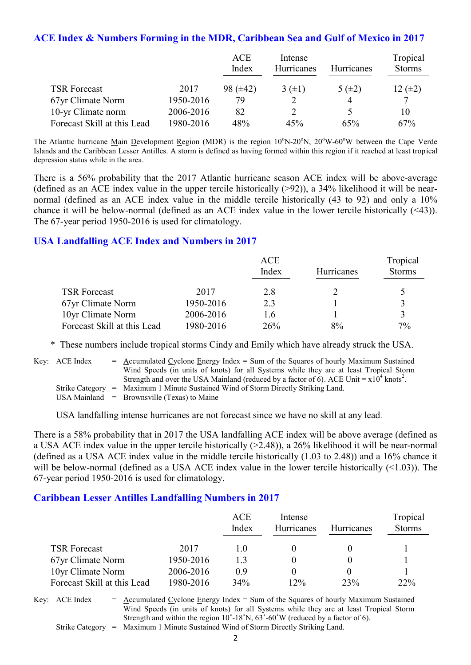#### **ACE Index & Numbers Forming in the MDR, Caribbean Sea and Gulf of Mexico in 2017**

|                             |           | <b>ACE</b><br>Index | Intense<br>Hurricanes | <b>Hurricanes</b> | Tropical<br><b>Storms</b> |
|-----------------------------|-----------|---------------------|-----------------------|-------------------|---------------------------|
| <b>TSR Forecast</b>         | 2017      | $98 (\pm 42)$       | $3(\pm 1)$            | 5 $(\pm 2)$       | $12 \ (\pm 2)$            |
| 67yr Climate Norm           | 1950-2016 | 79                  |                       | 4                 | 7                         |
| 10-yr Climate norm          | 2006-2016 | 82                  |                       |                   | 10                        |
| Forecast Skill at this Lead | 1980-2016 | 48%                 | 45%                   | 65%               | 67%                       |

The Atlantic hurricane Main Development Region (MDR) is the region  $10^{\circ}$ N-20<sup>o</sup>N,  $20^{\circ}$ W-60<sup>o</sup>W between the Cape Verde Islands and the Caribbean Lesser Antilles. A storm is defined as having formed within this region if it reached at least tropical depression status while in the area.

There is a 56% probability that the 2017 Atlantic hurricane season ACE index will be above-average (defined as an ACE index value in the upper tercile historically  $(>92)$ ), a 34% likelihood it will be nearnormal (defined as an ACE index value in the middle tercile historically (43 to 92) and only a 10% chance it will be below-normal (defined as an ACE index value in the lower tercile historically (<43)). The 67-year period 1950-2016 is used for climatology.

#### **USA Landfalling ACE Index and Numbers in 2017**

|                             |           | ACE<br>Index | Hurricanes | Tropical<br><b>Storms</b> |
|-----------------------------|-----------|--------------|------------|---------------------------|
| <b>TSR Forecast</b>         | 2017      | 2.8          |            |                           |
| 67yr Climate Norm           | 1950-2016 | 23           |            |                           |
| 10yr Climate Norm           | 2006-2016 | 1.6          |            |                           |
| Forecast Skill at this Lead | 1980-2016 | 26%          | 8%         | $7\%$                     |

\* These numbers include tropical storms Cindy and Emily which have already struck the USA.

Key:  $\text{ACE Index} = \text{Accumulated Cyclone Energy Index} = \text{Sum of the Squares of hourly Maximum Sustainable distance.}$ Wind Speeds (in units of knots) for all Systems while they are at least Tropical Storm Strength and over the USA Mainland (reduced by a factor of 6). ACE Unit =  $x10^4$  knots<sup>2</sup>. Strike Category = Maximum 1 Minute Sustained Wind of Storm Directly Striking Land.

USA Mainland  $=$  Brownsville (Texas) to Maine

USA landfalling intense hurricanes are not forecast since we have no skill at any lead.

There is a 58% probability that in 2017 the USA landfalling ACE index will be above average (defined as a USA ACE index value in the upper tercile historically (>2.48)), a 26% likelihood it will be near-normal (defined as a USA ACE index value in the middle tercile historically (1.03 to 2.48)) and a 16% chance it will be below-normal (defined as a USA ACE index value in the lower tercile historically (<1.03)). The 67-year period 1950-2016 is used for climatology.

#### **Caribbean Lesser Antilles Landfalling Numbers in 2017**

|                             |           | ACE<br>Index | Intense<br>Hurricanes | <b>Hurricanes</b> | Tropical<br><b>Storms</b> |
|-----------------------------|-----------|--------------|-----------------------|-------------------|---------------------------|
| <b>TSR Forecast</b>         | 2017      | 10           |                       |                   |                           |
| 67yr Climate Norm           | 1950-2016 | 13           |                       |                   |                           |
| 10yr Climate Norm           | 2006-2016 | 09           |                       |                   |                           |
| Forecast Skill at this Lead | 1980-2016 | 34%          | 12%                   | 23%               | $22\%$                    |

Key:  $ACE Index = Accumulated Cyclone Energy Index = Sum of the Squares of hourly Maximum Sustainable$ Wind Speeds (in units of knots) for all Systems while they are at least Tropical Storm Strength and within the region  $10^{\circ}$ -18°N,  $63^{\circ}$ -60°W (reduced by a factor of 6). Strike Category = Maximum 1 Minute Sustained Wind of Storm Directly Striking Land.

2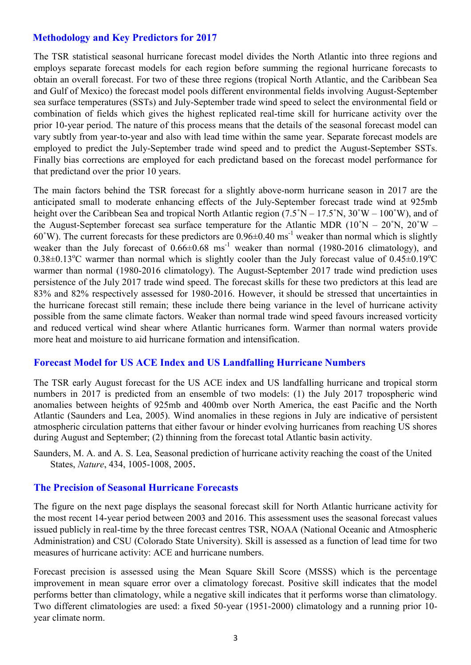# **Methodology and Key Predictors for 2017**

The TSR statistical seasonal hurricane forecast model divides the North Atlantic into three regions and employs separate forecast models for each region before summing the regional hurricane forecasts to obtain an overall forecast. For two of these three regions (tropical North Atlantic, and the Caribbean Sea and Gulf of Mexico) the forecast model pools different environmental fields involving August-September sea surface temperatures (SSTs) and July-September trade wind speed to select the environmental field or combination of fields which gives the highest replicated real-time skill for hurricane activity over the prior 10-year period. The nature of this process means that the details of the seasonal forecast model can vary subtly from year-to-year and also with lead time within the same year. Separate forecast models are employed to predict the July-September trade wind speed and to predict the August-September SSTs. Finally bias corrections are employed for each predictand based on the forecast model performance for that predictand over the prior 10 years.

The main factors behind the TSR forecast for a slightly above-norm hurricane season in 2017 are the anticipated small to moderate enhancing effects of the July-September forecast trade wind at 925mb height over the Caribbean Sea and tropical North Atlantic region  $(7.5°N - 17.5°N, 30°W - 100°W)$ , and of the August-September forecast sea surface temperature for the Atlantic MDR  $(10°N - 20°N, 20°W -$ 60°W). The current forecasts for these predictors are  $0.96\pm0.40$  ms<sup>-1</sup> weaker than normal which is slightly weaker than the July forecast of  $0.66\pm0.68$  ms<sup>-1</sup> weaker than normal (1980-2016 climatology), and  $0.38\pm0.13^{\circ}$ C warmer than normal which is slightly cooler than the July forecast value of  $0.45\pm0.19^{\circ}$ C warmer than normal (1980-2016 climatology). The August-September 2017 trade wind prediction uses persistence of the July 2017 trade wind speed. The forecast skills for these two predictors at this lead are 83% and 82% respectively assessed for 1980-2016. However, it should be stressed that uncertainties in the hurricane forecast still remain; these include there being variance in the level of hurricane activity possible from the same climate factors. Weaker than normal trade wind speed favours increased vorticity and reduced vertical wind shear where Atlantic hurricanes form. Warmer than normal waters provide more heat and moisture to aid hurricane formation and intensification.

## **Forecast Model for US ACE Index and US Landfalling Hurricane Numbers**

The TSR early August forecast for the US ACE index and US landfalling hurricane and tropical storm numbers in 2017 is predicted from an ensemble of two models: (1) the July 2017 tropospheric wind anomalies between heights of 925mb and 400mb over North America, the east Pacific and the North Atlantic (Saunders and Lea, 2005). Wind anomalies in these regions in July are indicative of persistent atmospheric circulation patterns that either favour or hinder evolving hurricanes from reaching US shores during August and September; (2) thinning from the forecast total Atlantic basin activity.

Saunders, M. A. and A. S. Lea, Seasonal prediction of hurricane activity reaching the coast of the United States, *Nature*, 434, 1005-1008, 2005.

#### **The Precision of Seasonal Hurricane Forecasts**

The figure on the next page displays the seasonal forecast skill for North Atlantic hurricane activity for the most recent 14-year period between 2003 and 2016. This assessment uses the seasonal forecast values issued publicly in real-time by the three forecast centres TSR, NOAA (National Oceanic and Atmospheric Administration) and CSU (Colorado State University). Skill is assessed as a function of lead time for two measures of hurricane activity: ACE and hurricane numbers.

Forecast precision is assessed using the Mean Square Skill Score (MSSS) which is the percentage improvement in mean square error over a climatology forecast. Positive skill indicates that the model performs better than climatology, while a negative skill indicates that it performs worse than climatology. Two different climatologies are used: a fixed 50-year (1951-2000) climatology and a running prior 10 year climate norm.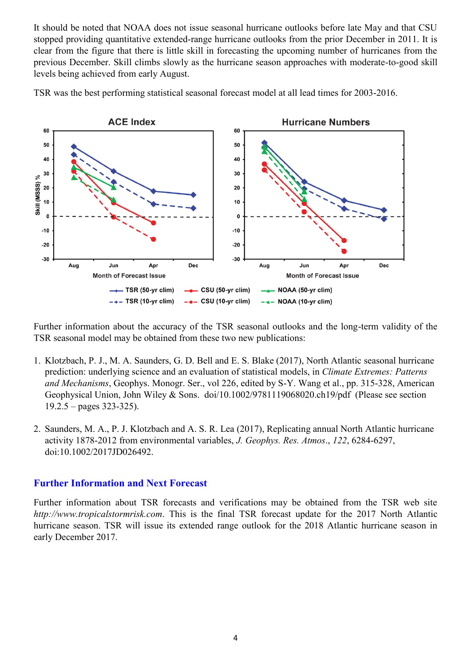It should be noted that NOAA does not issue seasonal hurricane outlooks before late May and that CSU stopped providing quantitative extended-range hurricane outlooks from the prior December in 2011. It is clear from the figure that there is little skill in forecasting the upcoming number of hurricanes from the previous December. Skill climbs slowly as the hurricane season approaches with moderate-to-good skill levels being achieved from early August.





Further information about the accuracy of the TSR seasonal outlooks and the long-term validity of the TSR seasonal model may be obtained from these two new publications:

- 1. Klotzbach, P. J., M. A. Saunders, G. D. Bell and E. S. Blake (2017), North Atlantic seasonal hurricane prediction: underlying science and an evaluation of statistical models, in *Climate Extremes: Patterns and Mechanisms*, Geophys. Monogr. Ser., vol 226, edited by S-Y. Wang et al., pp. 315-328, American Geophysical Union, John Wiley & Sons. doi/10.1002/9781119068020.ch19/pdf (Please see section  $19.2.5 - pages 323-325$ ).
- 2. Saunders, M. A., P. J. Klotzbach and A. S. R. Lea (2017), Replicating annual North Atlantic hurricane activity 1878-2012 from environmental variables, *J. Geophys. Res. Atmos*., *122*, 6284-6297, doi:10.1002/2017JD026492.

## **Further Information and Next Forecast**

Further information about TSR forecasts and verifications may be obtained from the TSR web site *http://www.tropicalstormrisk.com*. This is the final TSR forecast update for the 2017 North Atlantic hurricane season. TSR will issue its extended range outlook for the 2018 Atlantic hurricane season in early December 2017.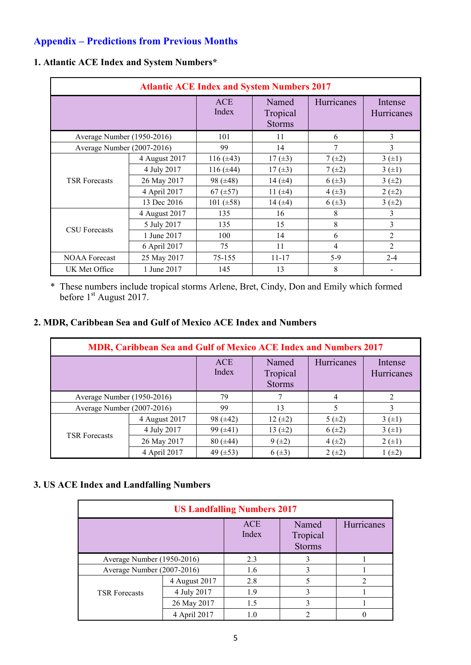# **Appendix – Predictions from Previous Months**

| <b>Atlantic ACE Index and System Numbers 2017</b> |               |                |                                    |            |                       |  |  |
|---------------------------------------------------|---------------|----------------|------------------------------------|------------|-----------------------|--|--|
|                                                   |               | ACE<br>Index   | Named<br>Tropical<br><b>Storms</b> | Hurricanes | Intense<br>Hurricanes |  |  |
| Average Number (1950-2016)                        |               | 101            | 11                                 | 6          | 3                     |  |  |
| Average Number (2007-2016)                        |               | 99             | 14                                 | 7          | 3                     |  |  |
| <b>TSR Forecasts</b>                              | 4 August 2017 | 116 $(\pm 43)$ | 17 $(\pm 3)$                       | $7(\pm 2)$ | 3(±1)                 |  |  |
|                                                   | 4 July 2017   | 116 $(\pm 44)$ | 17 $(\pm 3)$                       | $7(\pm 2)$ | 3(±1)                 |  |  |
|                                                   | 26 May 2017   | 98 $(\pm 48)$  | 14 $(\pm 4)$                       | $6(\pm 3)$ | $3(+2)$               |  |  |
|                                                   | 4 April 2017  | 67 $(\pm 57)$  | 11 $(\pm 4)$                       | $4(\pm 3)$ | $2 (+2)$              |  |  |
|                                                   | 13 Dec 2016   | 101 $(\pm 58)$ | 14 $(±4)$                          | $6(\pm 3)$ | $3 (+2)$              |  |  |
|                                                   | 4 August 2017 | 135            | 16                                 | 8          | 3                     |  |  |
|                                                   | 5 July 2017   | 135            | 15                                 | 8          | 3                     |  |  |
| <b>CSU</b> Forecasts                              | 1 June 2017   | 100            | 14                                 | 6          | 2                     |  |  |
|                                                   | 6 April 2017  | 75             | 11                                 | 4          | $\overline{2}$        |  |  |
| <b>NOAA</b> Forecast                              | 25 May 2017   | 75-155         | $11 - 17$                          | $5-9$      | $2 - 4$               |  |  |
| UK Met Office                                     | 1 June 2017   | 145            | 13                                 | 8          | -                     |  |  |

## **1. Atlantic ACE Index and System Numbers\***

 \* These numbers include tropical storms Arlene, Bret, Cindy, Don and Emily which formed before 1<sup>st</sup> August 2017.

## **2. MDR, Caribbean Sea and Gulf of Mexico ACE Index and Numbers**

| MDR, Caribbean Sea and Gulf of Mexico ACE Index and Numbers 2017 |               |                     |                                    |            |                       |  |  |
|------------------------------------------------------------------|---------------|---------------------|------------------------------------|------------|-----------------------|--|--|
|                                                                  |               | <b>ACE</b><br>Index | Named<br>Tropical<br><b>Storms</b> | Hurricanes | Intense<br>Hurricanes |  |  |
| Average Number (1950-2016)                                       |               | 79                  |                                    | 4          |                       |  |  |
| Average Number (2007-2016)                                       |               | 99                  | 13                                 | 5          |                       |  |  |
|                                                                  | 4 August 2017 | 98 $(\pm 42)$       | $12 (+2)$                          | 5(±2)      | 3(±1)                 |  |  |
| <b>TSR</b> Forecasts                                             | 4 July 2017   | 99 $(\pm 41)$       | 13 $(\pm 2)$                       | $6(\pm 2)$ | 3(±1)                 |  |  |
|                                                                  | 26 May 2017   | $80 (\pm 44)$       | $9 (+2)$                           | $4(\pm 2)$ | $2 (+1)$              |  |  |
|                                                                  | 4 April 2017  | 49 $(\pm 53)$       | $6(\pm 3)$                         | $2 (+2)$   | $(\pm 2)$             |  |  |

# **3. US ACE Index and Landfalling Numbers**

| <b>US Landfalling Numbers 2017</b> |               |                     |                                    |            |  |  |  |  |
|------------------------------------|---------------|---------------------|------------------------------------|------------|--|--|--|--|
|                                    |               | <b>ACE</b><br>Index | Named<br>Tropical<br><b>Storms</b> | Hurricanes |  |  |  |  |
| Average Number (1950-2016)         |               | 2.3                 |                                    |            |  |  |  |  |
| Average Number (2007-2016)         |               | 1.6                 |                                    |            |  |  |  |  |
|                                    | 4 August 2017 | 2.8                 |                                    | າ          |  |  |  |  |
| <b>TSR Forecasts</b>               | 4 July 2017   | 1.9                 | 3                                  |            |  |  |  |  |
|                                    | 26 May 2017   | 1.5                 |                                    |            |  |  |  |  |
|                                    | 4 April 2017  |                     |                                    |            |  |  |  |  |